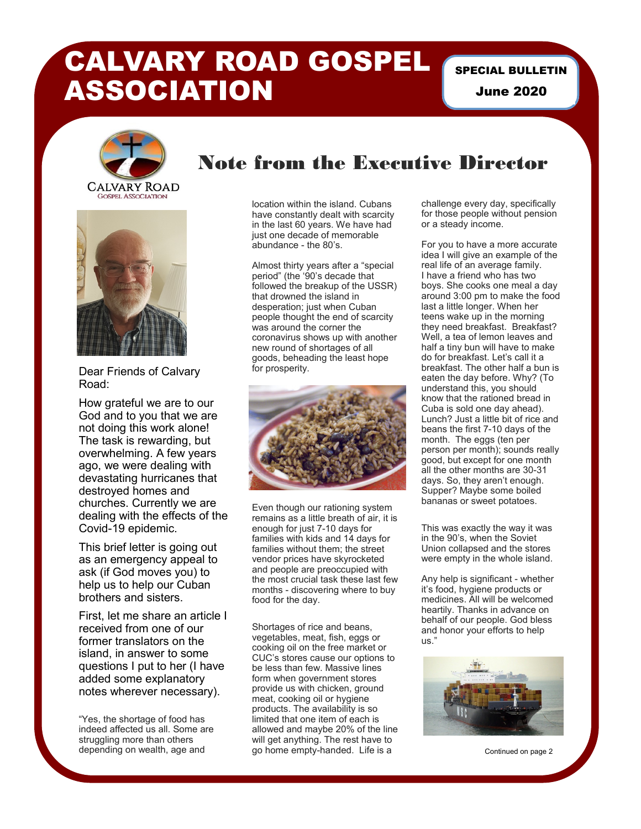## CALVARY ROAD GOSPEL ASSOCIATION

SPECIAL BULLETIN June 2020





Dear Friends of Calvary Road:

How grateful we are to our God and to you that we are not doing this work alone! The task is rewarding, but overwhelming. A few years ago, we were dealing with devastating hurricanes that destroyed homes and churches. Currently we are dealing with the effects of the Covid-19 epidemic.

This brief letter is going out as an emergency appeal to ask (if God moves you) to help us to help our Cuban brothers and sisters.

First, let me share an article I received from one of our former translators on the island, in answer to some questions I put to her (I have added some explanatory notes wherever necessary).

"Yes, the shortage of food has indeed affected us all. Some are struggling more than others depending on wealth, age and

## Note from the Executive Director

location within the island. Cubans have constantly dealt with scarcity in the last 60 years. We have had just one decade of memorable abundance - the 80's.

Almost thirty years after a "special period" (the '90's decade that followed the breakup of the USSR) that drowned the island in desperation; just when Cuban people thought the end of scarcity was around the corner the coronavirus shows up with another new round of shortages of all goods, beheading the least hope for prosperity.



Even though our rationing system remains as a little breath of air, it is enough for just 7-10 days for families with kids and 14 days for families without them; the street vendor prices have skyrocketed and people are preoccupied with the most crucial task these last few months - discovering where to buy food for the day.

Shortages of rice and beans, vegetables, meat, fish, eggs or cooking oil on the free market or CUC's stores cause our options to be less than few. Massive lines form when government stores provide us with chicken, ground meat, cooking oil or hygiene products. The availability is so limited that one item of each is allowed and maybe 20% of the line will get anything. The rest have to go home empty-handed. Life is a

challenge every day, specifically for those people without pension or a steady income.

For you to have a more accurate idea I will give an example of the real life of an average family. I have a friend who has two boys. She cooks one meal a day around 3:00 pm to make the food last a little longer. When her teens wake up in the morning they need breakfast. Breakfast? Well, a tea of lemon leaves and half a tiny bun will have to make do for breakfast. Let's call it a breakfast. The other half a bun is eaten the day before. Why? (To understand this, you should know that the rationed bread in Cuba is sold one day ahead). Lunch? Just a little bit of rice and beans the first 7-10 days of the month. The eggs (ten per person per month); sounds really good, but except for one month all the other months are 30-31 days. So, they aren't enough. Supper? Maybe some boiled bananas or sweet potatoes.

This was exactly the way it was in the 90's, when the Soviet Union collapsed and the stores were empty in the whole island.

Any help is significant - whether it's food, hygiene products or medicines. All will be welcomed heartily. Thanks in advance on behalf of our people. God bless and honor your efforts to help us."



Continued on page 2